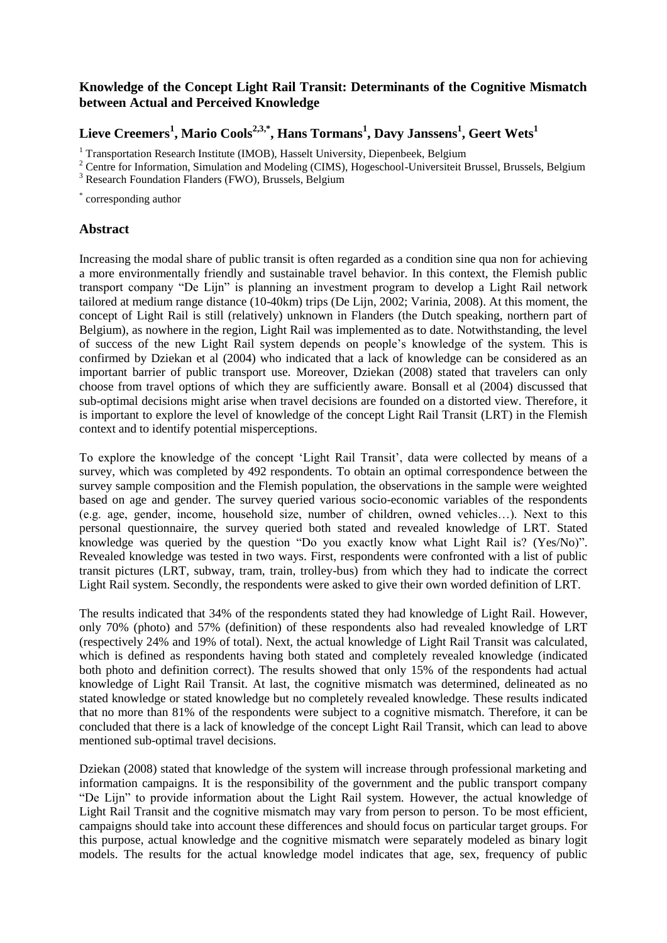## **Knowledge of the Concept Light Rail Transit: Determinants of the Cognitive Mismatch between Actual and Perceived Knowledge**

## **Lieve Creemers<sup>1</sup> , Mario Cools2,3,\*, Hans Tormans<sup>1</sup> , Davy Janssens<sup>1</sup> , Geert Wets<sup>1</sup>**

<sup>1</sup> Transportation Research Institute (IMOB), Hasselt University, Diepenbeek, Belgium

<sup>2</sup> Centre for Information, Simulation and Modeling (CIMS), Hogeschool-Universiteit Brussel, Brussels, Belgium

\* corresponding author

## **Abstract**

Increasing the modal share of public transit is often regarded as a condition sine qua non for achieving a more environmentally friendly and sustainable travel behavior. In this context, the Flemish public transport company "De Lijn" is planning an investment program to develop a Light Rail network tailored at medium range distance (10-40km) trips (De Lijn, 2002; Varinia, 2008). At this moment, the concept of Light Rail is still (relatively) unknown in Flanders (the Dutch speaking, northern part of Belgium), as nowhere in the region, Light Rail was implemented as to date. Notwithstanding, the level of success of the new Light Rail system depends on people's knowledge of the system. This is confirmed by Dziekan et al (2004) who indicated that a lack of knowledge can be considered as an important barrier of public transport use. Moreover, Dziekan (2008) stated that travelers can only choose from travel options of which they are sufficiently aware. Bonsall et al (2004) discussed that sub-optimal decisions might arise when travel decisions are founded on a distorted view. Therefore, it is important to explore the level of knowledge of the concept Light Rail Transit (LRT) in the Flemish context and to identify potential misperceptions.

To explore the knowledge of the concept 'Light Rail Transit', data were collected by means of a survey, which was completed by 492 respondents. To obtain an optimal correspondence between the survey sample composition and the Flemish population, the observations in the sample were weighted based on age and gender. The survey queried various socio-economic variables of the respondents (e.g. age, gender, income, household size, number of children, owned vehicles…). Next to this personal questionnaire, the survey queried both stated and revealed knowledge of LRT. Stated knowledge was queried by the question "Do you exactly know what Light Rail is? (Yes/No)". Revealed knowledge was tested in two ways. First, respondents were confronted with a list of public transit pictures (LRT, subway, tram, train, trolley-bus) from which they had to indicate the correct Light Rail system. Secondly, the respondents were asked to give their own worded definition of LRT.

The results indicated that 34% of the respondents stated they had knowledge of Light Rail. However, only 70% (photo) and 57% (definition) of these respondents also had revealed knowledge of LRT (respectively 24% and 19% of total). Next, the actual knowledge of Light Rail Transit was calculated, which is defined as respondents having both stated and completely revealed knowledge (indicated both photo and definition correct). The results showed that only 15% of the respondents had actual knowledge of Light Rail Transit. At last, the cognitive mismatch was determined, delineated as no stated knowledge or stated knowledge but no completely revealed knowledge. These results indicated that no more than 81% of the respondents were subject to a cognitive mismatch. Therefore, it can be concluded that there is a lack of knowledge of the concept Light Rail Transit, which can lead to above mentioned sub-optimal travel decisions.

Dziekan (2008) stated that knowledge of the system will increase through professional marketing and information campaigns. It is the responsibility of the government and the public transport company "De Lijn" to provide information about the Light Rail system. However, the actual knowledge of Light Rail Transit and the cognitive mismatch may vary from person to person. To be most efficient, campaigns should take into account these differences and should focus on particular target groups. For this purpose, actual knowledge and the cognitive mismatch were separately modeled as binary logit models. The results for the actual knowledge model indicates that age, sex, frequency of public

<sup>&</sup>lt;sup>3</sup> Research Foundation Flanders (FWO), Brussels, Belgium